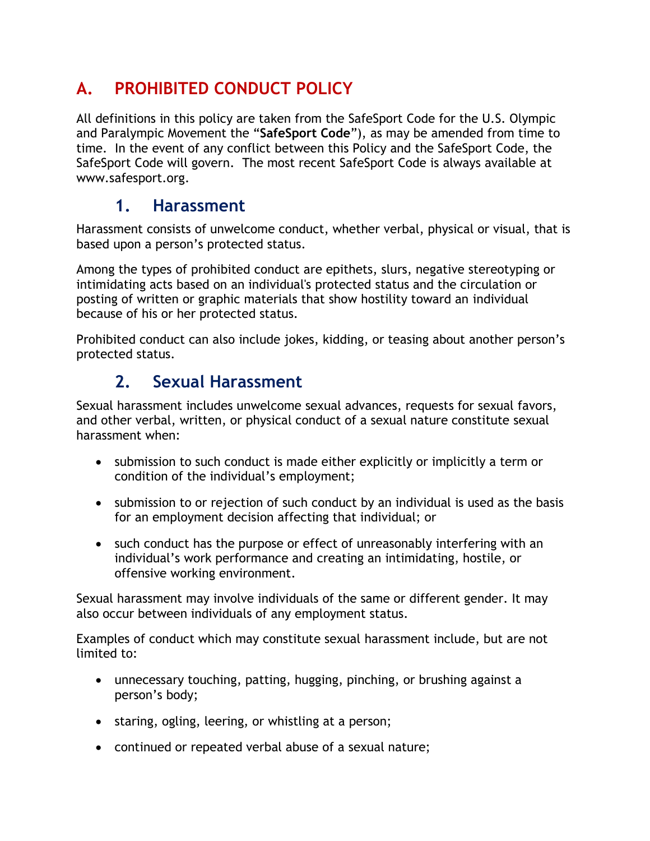# **A. PROHIBITED CONDUCT POLICY**

All definitions in this policy are taken from the SafeSport Code for the U.S. Olympic and Paralympic Movement the "**SafeSport Code**"), as may be amended from time to time. In the event of any conflict between this Policy and the SafeSport Code, the SafeSport Code will govern. The most recent SafeSport Code is always available at www.safesport.org.

#### **1. Harassment**

Harassment consists of unwelcome conduct, whether verbal, physical or visual, that is based upon a person's protected status.

Among the types of prohibited conduct are epithets, slurs, negative stereotyping or intimidating acts based on an individual's protected status and the circulation or posting of written or graphic materials that show hostility toward an individual because of his or her protected status.

Prohibited conduct can also include jokes, kidding, or teasing about another person's protected status.

## **2. Sexual Harassment**

Sexual harassment includes unwelcome sexual advances, requests for sexual favors, and other verbal, written, or physical conduct of a sexual nature constitute sexual harassment when:

- submission to such conduct is made either explicitly or implicitly a term or condition of the individual's employment;
- submission to or rejection of such conduct by an individual is used as the basis for an employment decision affecting that individual; or
- such conduct has the purpose or effect of unreasonably interfering with an individual's work performance and creating an intimidating, hostile, or offensive working environment.

Sexual harassment may involve individuals of the same or different gender. It may also occur between individuals of any employment status.

Examples of conduct which may constitute sexual harassment include, but are not limited to:

- unnecessary touching, patting, hugging, pinching, or brushing against a person's body;
- staring, ogling, leering, or whistling at a person;
- continued or repeated verbal abuse of a sexual nature;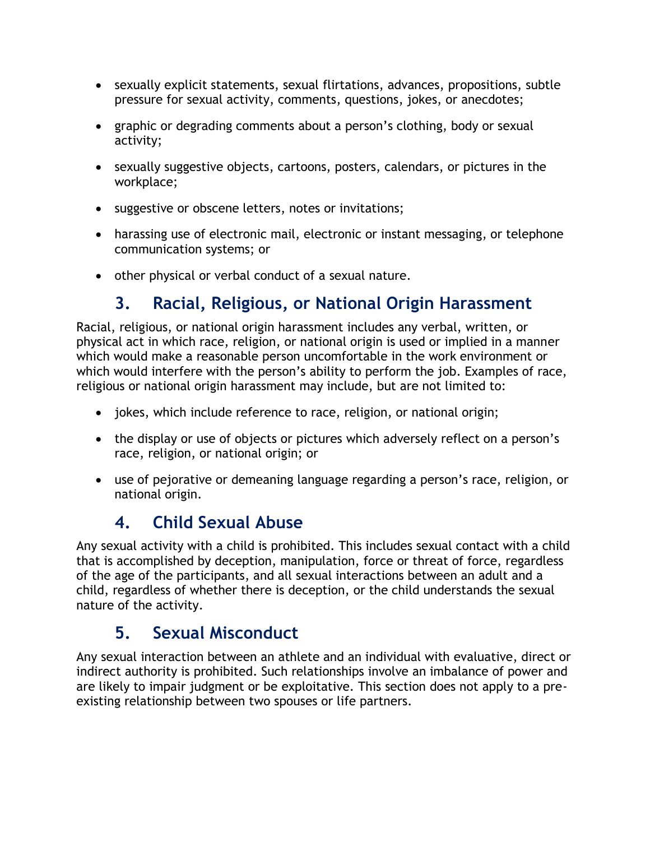- sexually explicit statements, sexual flirtations, advances, propositions, subtle pressure for sexual activity, comments, questions, jokes, or anecdotes;
- graphic or degrading comments about a person's clothing, body or sexual activity;
- sexually suggestive objects, cartoons, posters, calendars, or pictures in the workplace;
- suggestive or obscene letters, notes or invitations;
- harassing use of electronic mail, electronic or instant messaging, or telephone communication systems; or
- other physical or verbal conduct of a sexual nature.

### **3. Racial, Religious, or National Origin Harassment**

Racial, religious, or national origin harassment includes any verbal, written, or physical act in which race, religion, or national origin is used or implied in a manner which would make a reasonable person uncomfortable in the work environment or which would interfere with the person's ability to perform the job. Examples of race, religious or national origin harassment may include, but are not limited to:

- jokes, which include reference to race, religion, or national origin;
- the display or use of objects or pictures which adversely reflect on a person's race, religion, or national origin; or
- use of pejorative or demeaning language regarding a person's race, religion, or national origin.

## **4. Child Sexual Abuse**

Any sexual activity with a child is prohibited. This includes sexual contact with a child that is accomplished by deception, manipulation, force or threat of force, regardless of the age of the participants, and all sexual interactions between an adult and a child, regardless of whether there is deception, or the child understands the sexual nature of the activity.

#### **5. Sexual Misconduct**

Any sexual interaction between an athlete and an individual with evaluative, direct or indirect authority is prohibited. Such relationships involve an imbalance of power and are likely to impair judgment or be exploitative. This section does not apply to a preexisting relationship between two spouses or life partners.